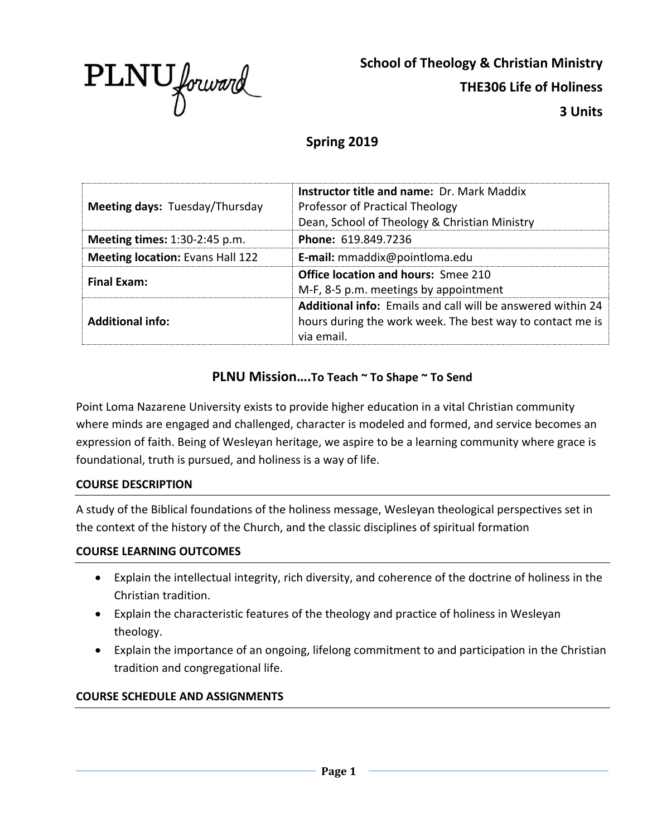

**School of Theology & Christian Ministry THE306 Life of Holiness 3 Units**

# **Spring 2019**

| Meeting days: Tuesday/Thursday          | <b>Instructor title and name: Dr. Mark Maddix</b><br>Professor of Practical Theology<br>Dean, School of Theology & Christian Ministry  |
|-----------------------------------------|----------------------------------------------------------------------------------------------------------------------------------------|
| <b>Meeting times: 1:30-2:45 p.m.</b>    | <b>Phone: 619.849.7236</b>                                                                                                             |
| <b>Meeting location: Evans Hall 122</b> | <b>E-mail:</b> mmaddix@pointloma.edu                                                                                                   |
| <b>Final Exam:</b>                      | <b>Office location and hours: Smee 210</b><br>M-F, 8-5 p.m. meetings by appointment                                                    |
| <b>Additional info:</b>                 | Additional info: Emails and call will be answered within 24<br>hours during the work week. The best way to contact me is<br>via email. |

# **PLNU Mission….To Teach ~ To Shape ~ To Send**

Point Loma Nazarene University exists to provide higher education in a vital Christian community where minds are engaged and challenged, character is modeled and formed, and service becomes an expression of faith. Being of Wesleyan heritage, we aspire to be a learning community where grace is foundational, truth is pursued, and holiness is a way of life.

### **COURSE DESCRIPTION**

A study of the Biblical foundations of the holiness message, Wesleyan theological perspectives set in the context of the history of the Church, and the classic disciplines of spiritual formation

### **COURSE LEARNING OUTCOMES**

- Explain the intellectual integrity, rich diversity, and coherence of the doctrine of holiness in the Christian tradition.
- Explain the characteristic features of the theology and practice of holiness in Wesleyan theology.
- Explain the importance of an ongoing, lifelong commitment to and participation in the Christian tradition and congregational life.

### **COURSE SCHEDULE AND ASSIGNMENTS**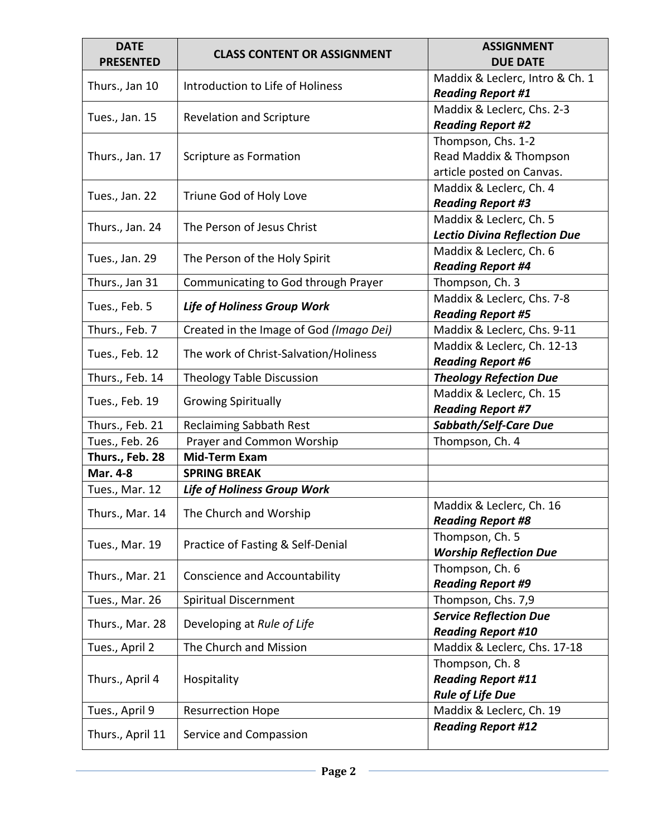| <b>DATE</b><br><b>PRESENTED</b> | <b>CLASS CONTENT OR ASSIGNMENT</b>      | <b>ASSIGNMENT</b><br><b>DUE DATE</b>        |
|---------------------------------|-----------------------------------------|---------------------------------------------|
|                                 |                                         | Maddix & Leclerc, Intro & Ch. 1             |
| Thurs., Jan 10                  | Introduction to Life of Holiness        | <b>Reading Report #1</b>                    |
| Tues., Jan. 15                  |                                         | Maddix & Leclerc, Chs. 2-3                  |
|                                 | <b>Revelation and Scripture</b>         | <b>Reading Report #2</b>                    |
|                                 |                                         | Thompson, Chs. 1-2                          |
| Thurs., Jan. 17                 | Scripture as Formation                  | Read Maddix & Thompson                      |
|                                 |                                         | article posted on Canvas.                   |
| Tues., Jan. 22                  | Triune God of Holy Love                 | Maddix & Leclerc, Ch. 4                     |
|                                 |                                         | <b>Reading Report #3</b>                    |
| Thurs., Jan. 24                 | The Person of Jesus Christ              | Maddix & Leclerc, Ch. 5                     |
|                                 |                                         | <b>Lectio Divina Reflection Due</b>         |
| Tues., Jan. 29                  | The Person of the Holy Spirit           | Maddix & Leclerc, Ch. 6                     |
|                                 |                                         | <b>Reading Report #4</b>                    |
| Thurs., Jan 31                  | Communicating to God through Prayer     | Thompson, Ch. 3                             |
| Tues., Feb. 5                   | <b>Life of Holiness Group Work</b>      | Maddix & Leclerc, Chs. 7-8                  |
|                                 |                                         | <b>Reading Report #5</b>                    |
| Thurs., Feb. 7                  | Created in the Image of God (Imago Dei) | Maddix & Leclerc, Chs. 9-11                 |
| Tues., Feb. 12                  | The work of Christ-Salvation/Holiness   | Maddix & Leclerc, Ch. 12-13                 |
|                                 |                                         | <b>Reading Report #6</b>                    |
| Thurs., Feb. 14                 | <b>Theology Table Discussion</b>        | <b>Theology Refection Due</b>               |
| Tues., Feb. 19                  | <b>Growing Spiritually</b>              | Maddix & Leclerc, Ch. 15                    |
|                                 |                                         | <b>Reading Report #7</b>                    |
| Thurs., Feb. 21                 | <b>Reclaiming Sabbath Rest</b>          | <b>Sabbath/Self-Care Due</b>                |
| Tues., Feb. 26                  | Prayer and Common Worship               | Thompson, Ch. 4                             |
| Thurs., Feb. 28                 | <b>Mid-Term Exam</b>                    |                                             |
| <b>Mar. 4-8</b>                 | <b>SPRING BREAK</b>                     |                                             |
| Tues., Mar. 12                  | <b>Life of Holiness Group Work</b>      |                                             |
| Thurs., Mar. 14                 | The Church and Worship                  | Maddix & Leclerc, Ch. 16                    |
|                                 |                                         | <b>Reading Report #8</b>                    |
| Tues., Mar. 19                  | Practice of Fasting & Self-Denial       | Thompson, Ch. 5                             |
|                                 |                                         | <b>Worship Reflection Due</b>               |
| Thurs., Mar. 21                 | <b>Conscience and Accountability</b>    | Thompson, Ch. 6<br><b>Reading Report #9</b> |
| Tues., Mar. 26                  | Spiritual Discernment                   | Thompson, Chs. 7,9                          |
|                                 |                                         | <b>Service Reflection Due</b>               |
| Thurs., Mar. 28                 | Developing at Rule of Life              | <b>Reading Report #10</b>                   |
| Tues., April 2                  | The Church and Mission                  | Maddix & Leclerc, Chs. 17-18                |
|                                 |                                         | Thompson, Ch. 8                             |
| Thurs., April 4                 | Hospitality                             | <b>Reading Report #11</b>                   |
|                                 |                                         | <b>Rule of Life Due</b>                     |
| Tues., April 9                  | <b>Resurrection Hope</b>                | Maddix & Leclerc, Ch. 19                    |
|                                 |                                         | <b>Reading Report #12</b>                   |
| Thurs., April 11                | Service and Compassion                  |                                             |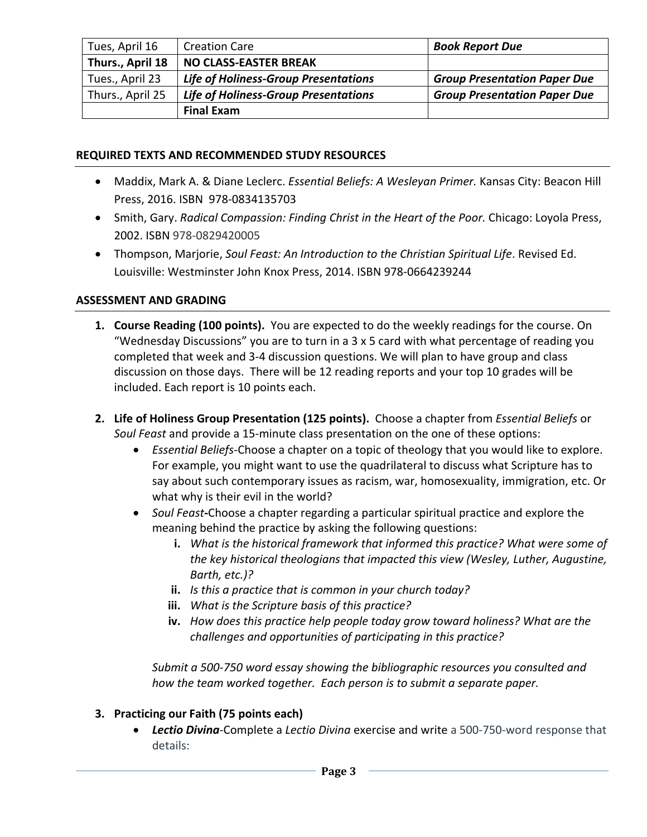| Tues, April 16   | <b>Creation Care</b>                        | <b>Book Report Due</b>              |
|------------------|---------------------------------------------|-------------------------------------|
| Thurs., April 18 | <b>NO CLASS-EASTER BREAK</b>                |                                     |
| Tues., April 23  | <b>Life of Holiness-Group Presentations</b> | <b>Group Presentation Paper Due</b> |
| Thurs., April 25 | <b>Life of Holiness-Group Presentations</b> | <b>Group Presentation Paper Due</b> |
|                  | <b>Final Exam</b>                           |                                     |

#### **REQUIRED TEXTS AND RECOMMENDED STUDY RESOURCES**

- Maddix, Mark A. & Diane Leclerc. *Essential Beliefs: A Wesleyan Primer.* Kansas City: Beacon Hill Press, 2016. ISBN 978-0834135703
- Smith, Gary. *Radical Compassion: Finding Christ in the Heart of the Poor.* Chicago: Loyola Press, 2002. ISBN 978-0829420005
- Thompson, Marjorie, *Soul Feast: An Introduction to the Christian Spiritual Life*. Revised Ed. Louisville: Westminster John Knox Press, 2014. ISBN 978-0664239244

#### **ASSESSMENT AND GRADING**

- **1. Course Reading (100 points).** You are expected to do the weekly readings for the course. On "Wednesday Discussions" you are to turn in a 3 x 5 card with what percentage of reading you completed that week and 3-4 discussion questions. We will plan to have group and class discussion on those days. There will be 12 reading reports and your top 10 grades will be included. Each report is 10 points each.
- **2. Life of Holiness Group Presentation (125 points).** Choose a chapter from *Essential Beliefs* or *Soul Feast* and provide a 15-minute class presentation on the one of these options:
	- *Essential Beliefs*-Choose a chapter on a topic of theology that you would like to explore. For example, you might want to use the quadrilateral to discuss what Scripture has to say about such contemporary issues as racism, war, homosexuality, immigration, etc. Or what why is their evil in the world?
	- *Soul Feast***-**Choose a chapter regarding a particular spiritual practice and explore the meaning behind the practice by asking the following questions:
		- **i.** *What is the historical framework that informed this practice? What were some of the key historical theologians that impacted this view (Wesley, Luther, Augustine, Barth, etc.)?*
		- **ii.** *Is this a practice that is common in your church today?*
		- **iii.** *What is the Scripture basis of this practice?*
		- **iv.** *How does this practice help people today grow toward holiness? What are the challenges and opportunities of participating in this practice?*

*Submit a 500-750 word essay showing the bibliographic resources you consulted and how the team worked together. Each person is to submit a separate paper.* 

### **3. Practicing our Faith (75 points each)**

**• Lectio Divina**-Complete a Lectio Divina exercise and write a 500-750-word response that details: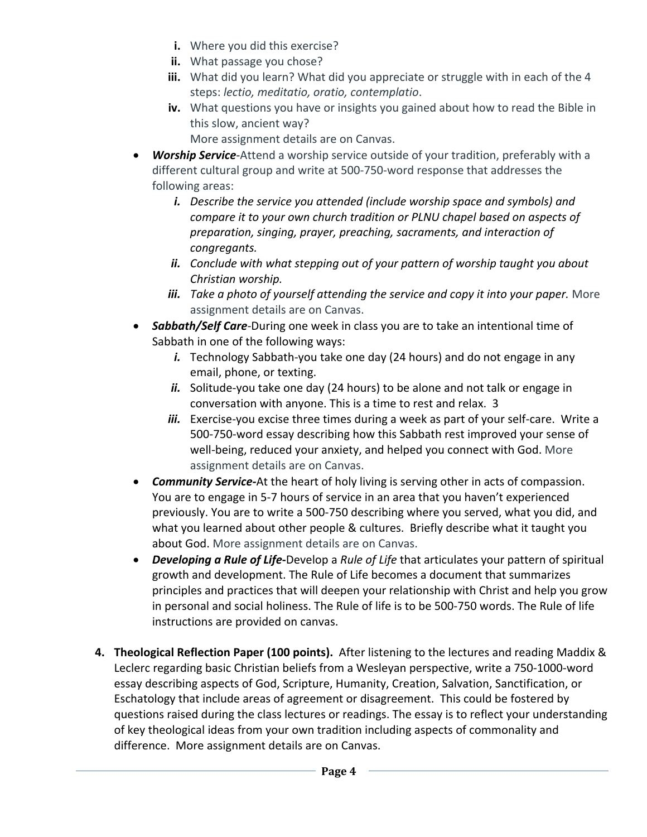- **i.** Where you did this exercise?
- **ii.** What passage you chose?
- **iii.** What did you learn? What did you appreciate or struggle with in each of the 4 steps: *lectio, meditatio, oratio, contemplatio*.
- **iv.** What questions you have or insights you gained about how to read the Bible in this slow, ancient way?
	- More assignment details are on Canvas.
- *Worship Service-*Attend a worship service outside of your tradition, preferably with a different cultural group and write at 500-750-word response that addresses the following areas:
	- *i. Describe the service you attended (include worship space and symbols) and compare it to your own church tradition or PLNU chapel based on aspects of preparation, singing, prayer, preaching, sacraments, and interaction of congregants.*
	- *ii. Conclude with what stepping out of your pattern of worship taught you about Christian worship.*
	- *iii. Take a photo of yourself attending the service and copy it into your paper.* **More** assignment details are on Canvas.
- *Sabbath/Self Care-*During one week in class you are to take an intentional time of Sabbath in one of the following ways:
	- *i.* Technology Sabbath-you take one day (24 hours) and do not engage in any email, phone, or texting.
	- ii. Solitude-you take one day (24 hours) to be alone and not talk or engage in conversation with anyone. This is a time to rest and relax. 3
	- *iii.* Exercise-you excise three times during a week as part of your self-care. Write a 500-750-word essay describing how this Sabbath rest improved your sense of well-being, reduced your anxiety, and helped you connect with God. More assignment details are on Canvas.
- *Community Service-*At the heart of holy living is serving other in acts of compassion. You are to engage in 5-7 hours of service in an area that you haven't experienced previously. You are to write a 500-750 describing where you served, what you did, and what you learned about other people & cultures. Briefly describe what it taught you about God. More assignment details are on Canvas.
- *Developing a Rule of Life***-**Develop a *Rule of Life* that articulates your pattern of spiritual growth and development. The Rule of Life becomes a document that summarizes principles and practices that will deepen your relationship with Christ and help you grow in personal and social holiness. The Rule of life is to be 500-750 words. The Rule of life instructions are provided on canvas.
- **4. Theological Reflection Paper (100 points).** After listening to the lectures and reading Maddix & Leclerc regarding basic Christian beliefs from a Wesleyan perspective, write a 750-1000-word essay describing aspects of God, Scripture, Humanity, Creation, Salvation, Sanctification, or Eschatology that include areas of agreement or disagreement. This could be fostered by questions raised during the class lectures or readings. The essay is to reflect your understanding of key theological ideas from your own tradition including aspects of commonality and difference. More assignment details are on Canvas.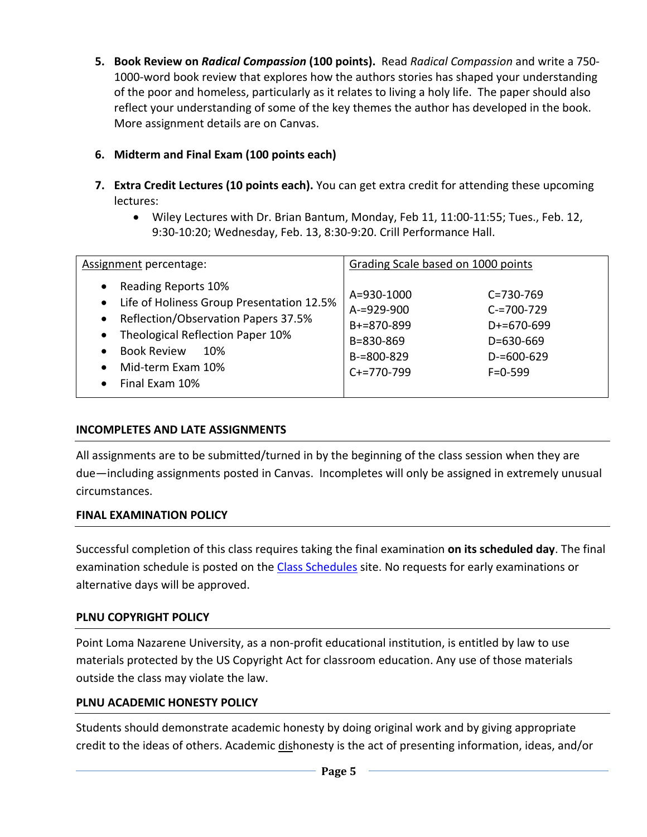**5. Book Review on** *Radical Compassion* **(100 points).** Read *Radical Compassion* and write a 750- 1000-word book review that explores how the authors stories has shaped your understanding of the poor and homeless, particularly as it relates to living a holy life. The paper should also reflect your understanding of some of the key themes the author has developed in the book. More assignment details are on Canvas.

## **6. Midterm and Final Exam (100 points each)**

- **7. Extra Credit Lectures (10 points each).** You can get extra credit for attending these upcoming lectures:
	- Wiley Lectures with Dr. Brian Bantum, Monday, Feb 11, 11:00-11:55; Tues., Feb. 12, 9:30-10:20; Wednesday, Feb. 13, 8:30-9:20. Crill Performance Hall.

| Assignment percentage:                                                                                                                                                                                                                                                                                     | Grading Scale based on 1000 points                                                                                                                                                                       |  |
|------------------------------------------------------------------------------------------------------------------------------------------------------------------------------------------------------------------------------------------------------------------------------------------------------------|----------------------------------------------------------------------------------------------------------------------------------------------------------------------------------------------------------|--|
| Reading Reports 10%<br>$\bullet$<br>Life of Holiness Group Presentation 12.5%<br>$\bullet$<br>Reflection/Observation Papers 37.5%<br>$\bullet$<br>Theological Reflection Paper 10%<br>$\bullet$<br><b>Book Review</b><br>10%<br>$\bullet$<br>Mid-term Exam 10%<br>$\bullet$<br>Final Fxam 10%<br>$\bullet$ | A=930-1000<br>$C = 730 - 769$<br>$A = 929 - 900$<br>$C = 700 - 729$<br>$B+=870-899$<br>$D+ = 670 - 699$<br>B=830-869<br>D=630-669<br>$B = 800 - 829$<br>$D = 600 - 629$<br>$C+=770-799$<br>$F = 0 - 599$ |  |

## **INCOMPLETES AND LATE ASSIGNMENTS**

All assignments are to be submitted/turned in by the beginning of the class session when they are due—including assignments posted in Canvas. Incompletes will only be assigned in extremely unusual circumstances.

## **FINAL EXAMINATION POLICY**

Successful completion of this class requires taking the final examination **on its scheduled day**. The final examination schedule is posted on the [Class Schedules](http://www.pointloma.edu/experience/academics/class-schedules) site. No requests for early examinations or alternative days will be approved.

### **PLNU COPYRIGHT POLICY**

Point Loma Nazarene University, as a non-profit educational institution, is entitled by law to use materials protected by the US Copyright Act for classroom education. Any use of those materials outside the class may violate the law.

### **PLNU ACADEMIC HONESTY POLICY**

Students should demonstrate academic honesty by doing original work and by giving appropriate credit to the ideas of others. Academic dishonesty is the act of presenting information, ideas, and/or